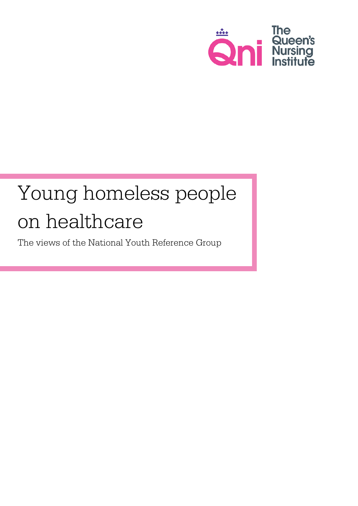

# Young homeless people on healthcare

The views of the National Youth Reference Group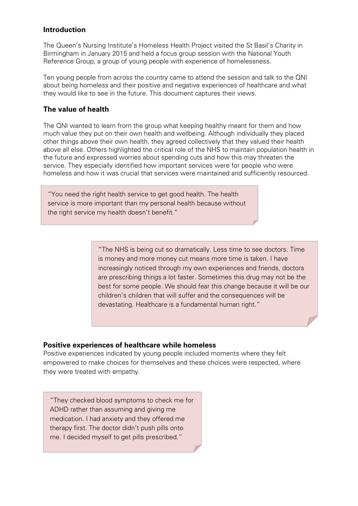# **Introduction**

The Queen's Nursing Institute's Homeless Health Project visited the St Basil's Charity in Birmingham in January 2015 and held a focus group session with the National Youth Reference Group, a group of young people with experience of homelessness.

Ten young people from across the country came to attend the session and talk to the QNI about being homeless and their positive and negative experiences of healthcare and what they would like to see in the future. This document captures their views.

# **The value of health**

The QNI wanted to learn from the group what keeping healthy meant for them and how much value they put on their own health and wellbeing. Although individually they placed other things above their own health, they agreed collectively that they valued their health above all else. Others highlighted the critical role of the NHS to maintain population health in the future and expressed worries about spending cuts and how this may threaten the service. They especially identified how important services were for people who were homeless and how it was crucial that services were maintained and sufficiently resourced.

"You need the right health service to get good health. The health service is more important than my personal health because without the right service my health doesn't benefit."

> "The NHS is being cut so dramatically. Less time to see doctors. Time is money and more money cut means more time is taken. I have increasingly noticed through my own experiences and friends, doctors are prescribing things a lot faster. Sometimes this drug may not be the best for some people. We should fear this change because it will be our children's children that will suffer and the consequences will be devastating. Healthcare is a fundamental human right."

# **Positive experiences of healthcare while homeless**

Positive experiences indicated by young people included moments where they felt empowered to make choices for themselves and these choices were respected, where they were treated with empathy.

"They checked blood symptoms to check me for ADHD rather than assuming and giving me medication. I had anxiety and they offered me therapy first. The doctor didn't push pills onto me. I decided myself to get pills prescribed."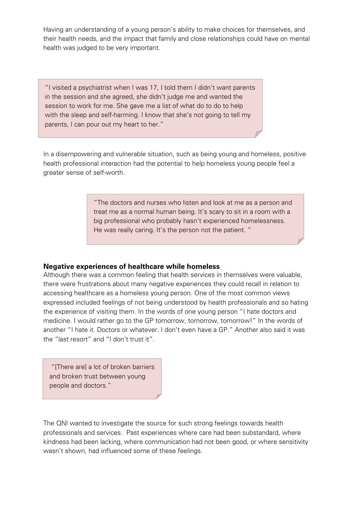Having an understanding of a young person's ability to make choices for themselves, and their health needs, and the impact that family and close relationships could have on mental health was judged to be very important.

"I visited a psychiatrist when I was 17, I told them I didn't want parents in the session and she agreed, she didn't judge me and wanted the session to work for me. She gave me a list of what do to do to help with the sleep and self-harming. I know that she's not going to tell my parents, I can pour out my heart to her."

In a disempowering and vulnerable situation, such as being young and homeless, positive health professional interaction had the potential to help homeless young people feel a greater sense of self-worth.

> "The doctors and nurses who listen and look at me as a person and treat me as a normal human being. It's scary to sit in a room with a big professional who probably hasn't experienced homelessness. He was really caring. It's the person not the patient. "

#### **Negative experiences of healthcare while homeless**

Although there was a common feeling that health services in themselves were valuable, there were frustrations about many negative experiences they could recall in relation to accessing healthcare as a homeless young person. One of the most common views expressed included feelings of not being understood by health professionals and so hating the experience of visiting them. In the words of one young person "I hate doctors and medicine. I would rather go to the GP tomorrow, tomorrow, tomorrow!" In the words of another "I hate it. Doctors or whatever. I don't even have a GP." Another also said it was the "last resort" and "I don't trust it".

"[There are] a lot of broken barriers and broken trust between young people and doctors."

The QNI wanted to investigate the source for such strong feelings towards health professionals and services. Past experiences where care had been substandard, where kindness had been lacking, where communication had not been good, or where sensitivity wasn't shown, had influenced some of these feelings.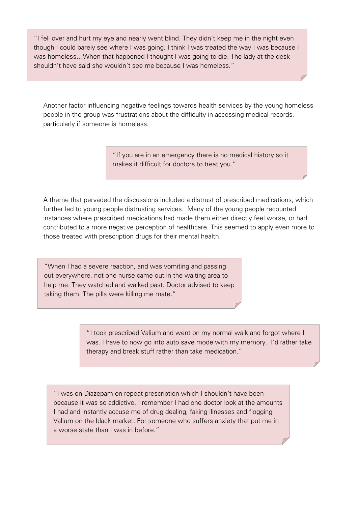"I fell over and hurt my eye and nearly went blind. They didn't keep me in the night even though I could barely see where I was going. I think I was treated the way I was because I was homeless…When that happened I thought I was going to die. The lady at the desk shouldn't have said she wouldn't see me because I was homeless."

Another factor influencing negative feelings towards health services by the young homeless people in the group was frustrations about the difficulty in accessing medical records, particularly if someone is homeless.

> "If you are in an emergency there is no medical history so it makes it difficult for doctors to treat you."

A theme that pervaded the discussions included a distrust of prescribed medications, which further led to young people distrusting services. Many of the young people recounted instances where prescribed medications had made them either directly feel worse, or had contributed to a more negative perception of healthcare. This seemed to apply even more to those treated with prescription drugs for their mental health.

"When I had a severe reaction, and was vomiting and passing out everywhere, not one nurse came out in the waiting area to help me. They watched and walked past. Doctor advised to keep taking them. The pills were killing me mate."

"I took prescribed Valium and went on my normal walk and forgot where I was. I have to now go into auto save mode with my memory. I'd rather take therapy and break stuff rather than take medication."

"I was on Diazepam on repeat prescription which I shouldn't have been because it was so addictive. I remember I had one doctor look at the amounts I had and instantly accuse me of drug dealing, faking illnesses and flogging Valium on the black market. For someone who suffers anxiety that put me in a worse state than I was in before."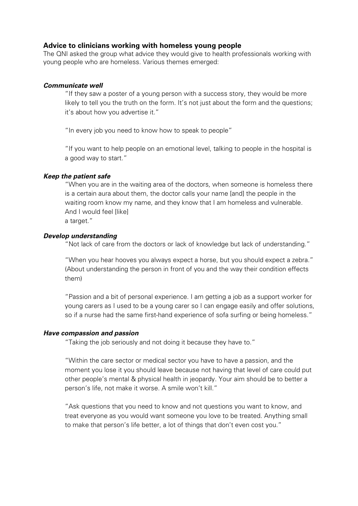#### **Advice to clinicians working with homeless young people**

The QNI asked the group what advice they would give to health professionals working with young people who are homeless. Various themes emerged:

#### *Communicate well*

"If they saw a poster of a young person with a success story, they would be more likely to tell you the truth on the form. It's not just about the form and the questions; it's about how you advertise it."

"In every job you need to know how to speak to people"

"If you want to help people on an emotional level, talking to people in the hospital is a good way to start."

#### *Keep the patient safe*

"When you are in the waiting area of the doctors, when someone is homeless there is a certain aura about them, the doctor calls your name [and] the people in the waiting room know my name, and they know that I am homeless and vulnerable. And I would feel [like] a target."

## *Develop understanding*

"Not lack of care from the doctors or lack of knowledge but lack of understanding."

"When you hear hooves you always expect a horse, but you should expect a zebra." (About understanding the person in front of you and the way their condition effects them)

"Passion and a bit of personal experience. I am getting a job as a support worker for young carers as I used to be a young carer so I can engage easily and offer solutions, so if a nurse had the same first-hand experience of sofa surfing or being homeless."

#### *Have compassion and passion*

"Taking the job seriously and not doing it because they have to."

"Within the care sector or medical sector you have to have a passion, and the moment you lose it you should leave because not having that level of care could put other people's mental & physical health in jeopardy. Your aim should be to better a person's life, not make it worse. A smile won't kill."

"Ask questions that you need to know and not questions you want to know, and treat everyone as you would want someone you love to be treated. Anything small to make that person's life better, a lot of things that don't even cost you."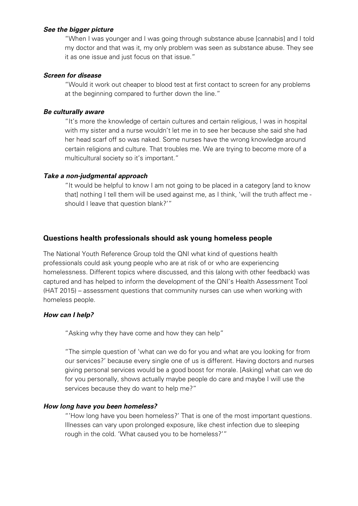#### *See the bigger picture*

"When I was younger and I was going through substance abuse [cannabis] and I told my doctor and that was it, my only problem was seen as substance abuse. They see it as one issue and just focus on that issue."

#### *Screen for disease*

"Would it work out cheaper to blood test at first contact to screen for any problems at the beginning compared to further down the line."

# *Be culturally aware*

"It's more the knowledge of certain cultures and certain religious, I was in hospital with my sister and a nurse wouldn't let me in to see her because she said she had her head scarf off so was naked. Some nurses have the wrong knowledge around certain religions and culture. That troubles me. We are trying to become more of a multicultural society so it's important."

# *Take a non-judgmental approach*

"It would be helpful to know I am not going to be placed in a category [and to know that] nothing I tell them will be used against me, as I think, 'will the truth affect me should I leave that question blank?'"

# **Questions health professionals should ask young homeless people**

The National Youth Reference Group told the QNI what kind of questions health professionals could ask young people who are at risk of or who are experiencing homelessness. Different topics where discussed, and this (along with other feedback) was captured and has helped to inform the development of the QNI's Health Assessment Tool (HAT 2015) – assessment questions that community nurses can use when working with homeless people.

# *How can I help?*

"Asking why they have come and how they can help"

"The simple question of 'what can we do for you and what are you looking for from our services?' because every single one of us is different. Having doctors and nurses giving personal services would be a good boost for morale. [Asking] what can we do for you personally, shows actually maybe people do care and maybe I will use the services because they do want to help me?"

# *How long have you been homeless?*

"'How long have you been homeless?' That is one of the most important questions. Illnesses can vary upon prolonged exposure, like chest infection due to sleeping rough in the cold. 'What caused you to be homeless?'"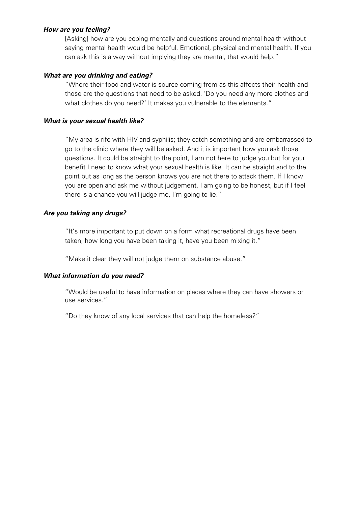## *How are you feeling?*

[Asking] how are you coping mentally and questions around mental health without saying mental health would be helpful. Emotional, physical and mental health. If you can ask this is a way without implying they are mental, that would help."

## *What are you drinking and eating?*

"Where their food and water is source coming from as this affects their health and those are the questions that need to be asked. 'Do you need any more clothes and what clothes do you need?' It makes you vulnerable to the elements."

#### *What is your sexual health like?*

"My area is rife with HIV and syphilis; they catch something and are embarrassed to go to the clinic where they will be asked. And it is important how you ask those questions. It could be straight to the point, I am not here to judge you but for your benefit I need to know what your sexual health is like. It can be straight and to the point but as long as the person knows you are not there to attack them. If I know you are open and ask me without judgement, I am going to be honest, but if I feel there is a chance you will judge me, I'm going to lie."

## *Are you taking any drugs?*

"It's more important to put down on a form what recreational drugs have been taken, how long you have been taking it, have you been mixing it."

"Make it clear they will not judge them on substance abuse."

# *What information do you need?*

"Would be useful to have information on places where they can have showers or use services."

"Do they know of any local services that can help the homeless?"